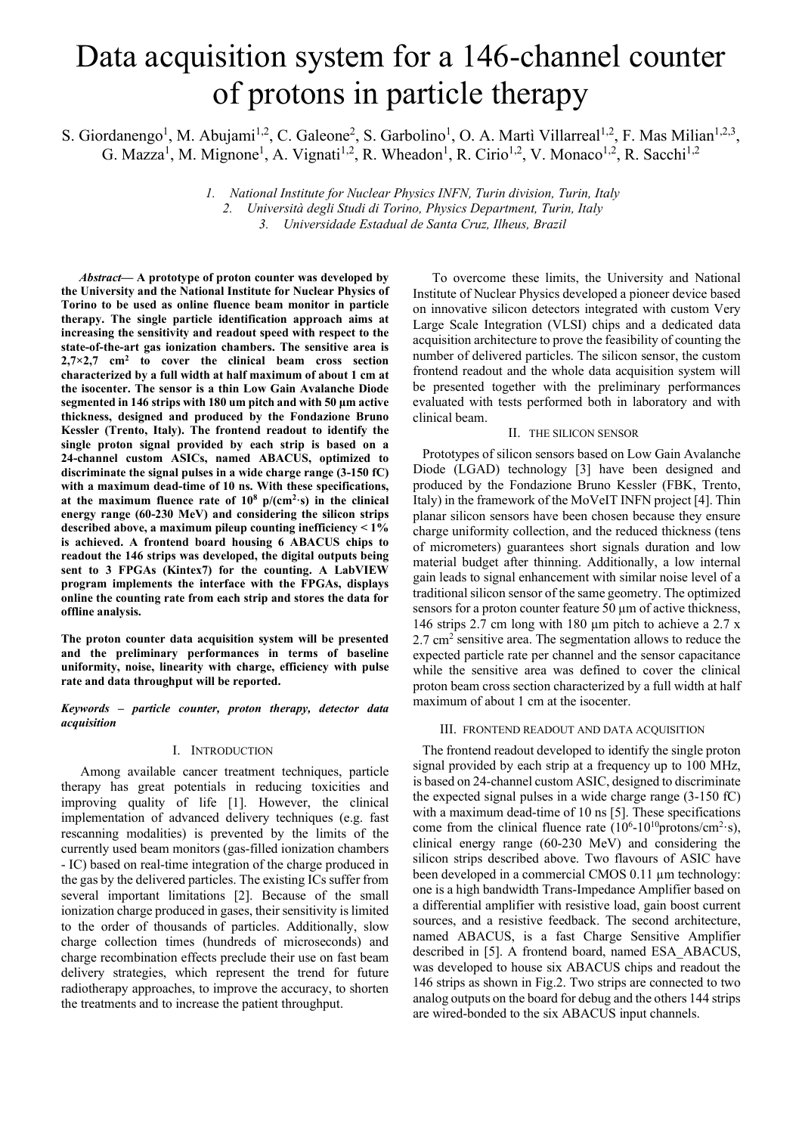# Data acquisition system for a 146-channel counter of protons in particle therapy

S. Giordanengo<sup>1</sup>, M. Abujami<sup>1,2</sup>, C. Galeone<sup>2</sup>, S. Garbolino<sup>1</sup>, O. A. Martì Villarreal<sup>1,2</sup>, F. Mas Milian<sup>1,2,3</sup>, G. Mazza<sup>1</sup>, M. Mignone<sup>1</sup>, A. Vignati<sup>1,2</sup>, R. Wheadon<sup>1</sup>, R. Cirio<sup>1,2</sup>, V. Monaco<sup>1,2</sup>, R. Sacchi<sup>1,2</sup>

> *1. National Institute for Nuclear Physics INFN, Turin division, Turin, Italy 2. Università degli Studi di Torino, Physics Department, Turin, Italy 3. Universidade Estadual de Santa Cruz, Ilheus, Brazil*

*Abstract***— A prototype of proton counter was developed by the University and the National Institute for Nuclear Physics of Torino to be used as online fluence beam monitor in particle therapy. The single particle identification approach aims at increasing the sensitivity and readout speed with respect to the state-of-the-art gas ionization chambers. The sensitive area is 2,7×2,7 cm2 to cover the clinical beam cross section characterized by a full width at half maximum of about 1 cm at the isocenter. The sensor is a thin Low Gain Avalanche Diode segmented in 146 strips with 180 um pitch and with 50 μm active thickness, designed and produced by the Fondazione Bruno Kessler (Trento, Italy). The frontend readout to identify the single proton signal provided by each strip is based on a 24-channel custom ASICs, named ABACUS, optimized to discriminate the signal pulses in a wide charge range (3-150 fC) with a maximum dead-time of 10 ns. With these specifications,**  at the maximum fluence rate of  $10^8$   $p/(cm^2·s)$  in the clinical **energy range (60-230 MeV) and considering the silicon strips described above, a maximum pileup counting inefficiency < 1% is achieved. A frontend board housing 6 ABACUS chips to readout the 146 strips was developed, the digital outputs being sent to 3 FPGAs (Kintex7) for the counting. A LabVIEW program implements the interface with the FPGAs, displays online the counting rate from each strip and stores the data for offline analysis.** 

**The proton counter data acquisition system will be presented and the preliminary performances in terms of baseline uniformity, noise, linearity with charge, efficiency with pulse rate and data throughput will be reported.** 

*Keywords* **–** *particle counter, proton therapy, detector data acquisition*

## I. INTRODUCTION

Among available cancer treatment techniques, particle therapy has great potentials in reducing toxicities and improving quality of life [1]. However, the clinical implementation of advanced delivery techniques (e.g. fast rescanning modalities) is prevented by the limits of the currently used beam monitors (gas-filled ionization chambers - IC) based on real-time integration of the charge produced in the gas by the delivered particles. The existing ICs suffer from several important limitations [2]. Because of the small ionization charge produced in gases, their sensitivity is limited to the order of thousands of particles. Additionally, slow charge collection times (hundreds of microseconds) and charge recombination effects preclude their use on fast beam delivery strategies, which represent the trend for future radiotherapy approaches, to improve the accuracy, to shorten the treatments and to increase the patient throughput.

To overcome these limits, the University and National Institute of Nuclear Physics developed a pioneer device based on innovative silicon detectors integrated with custom Very Large Scale Integration (VLSI) chips and a dedicated data acquisition architecture to prove the feasibility of counting the number of delivered particles. The silicon sensor, the custom frontend readout and the whole data acquisition system will be presented together with the preliminary performances evaluated with tests performed both in laboratory and with clinical beam.

## II. THE SILICON SENSOR

Prototypes of silicon sensors based on Low Gain Avalanche Diode (LGAD) technology [3] have been designed and produced by the Fondazione Bruno Kessler (FBK, Trento, Italy) in the framework of the MoVeIT INFN project [4]. Thin planar silicon sensors have been chosen because they ensure charge uniformity collection, and the reduced thickness (tens of micrometers) guarantees short signals duration and low material budget after thinning. Additionally, a low internal gain leads to signal enhancement with similar noise level of a traditional silicon sensor of the same geometry. The optimized sensors for a proton counter feature 50 µm of active thickness, 146 strips 2.7 cm long with 180 µm pitch to achieve a 2.7 x  $2.7 \text{ cm}^2$  sensitive area. The segmentation allows to reduce the expected particle rate per channel and the sensor capacitance while the sensitive area was defined to cover the clinical proton beam cross section characterized by a full width at half maximum of about 1 cm at the isocenter.

### III. FRONTEND READOUT AND DATA ACQUISITION

The frontend readout developed to identify the single proton signal provided by each strip at a frequency up to 100 MHz, is based on 24-channel custom ASIC, designed to discriminate the expected signal pulses in a wide charge range (3-150 fC) with a maximum dead-time of 10 ns [5]. These specifications come from the clinical fluence rate  $(10^6 \text{-} 10^{10} \text{protons/cm}^2 \text{-s})$ , clinical energy range (60-230 MeV) and considering the silicon strips described above. Two flavours of ASIC have been developed in a commercial CMOS 0.11 µm technology: one is a high bandwidth Trans-Impedance Amplifier based on a differential amplifier with resistive load, gain boost current sources, and a resistive feedback. The second architecture, named ABACUS, is a fast Charge Sensitive Amplifier described in [5]. A frontend board, named ESA\_ABACUS, was developed to house six ABACUS chips and readout the 146 strips as shown in Fig.2. Two strips are connected to two analog outputs on the board for debug and the others 144 strips are wired-bonded to the six ABACUS input channels.